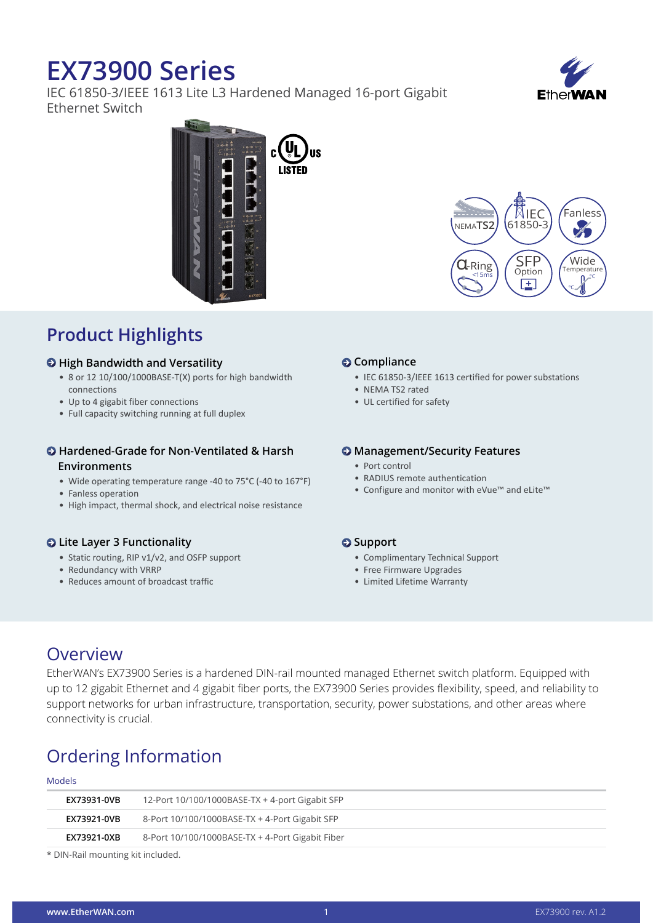# **EX73900 Series**

IEC 61850-3/IEEE 1613 Lite L3 Hardened Managed 16-port Gigabit Ethernet Switch



Fanless

 $\mathscr{C}$ 

IEC

SFP Option

圧

Wide Temperatur  $\mathsf{D}^{\mathcal{P}}$ °C



### **Product Highlights**

#### $\Theta$  **High Bandwidth and Versatility**

- 8 or 12 10/100/1000BASE-T(X) ports for high bandwidth connections
- • Up to 4 gigabit fiber connections
- Full capacity switching running at full duplex

#### **Hardened-Grade for Non-Ventilated & Harsh Environments**

- Wide operating temperature range -40 to 75°C (-40 to 167°F)
- Fanless operation
- High impact, thermal shock, and electrical noise resistance

### **Lite Layer 3 Functionality**

- Static routing, RIP v1/v2, and OSFP support
- Redundancy with VRRP
- • Reduces amount of broadcast traffic

#### **<sup>** $\odot$ **</sup>** Compliance

• IEC 61850-3/IEEE 1613 certified for power substations

 $\mathbf{J}$ -Ring <15ms

NEMA**TS2** 61850-3

- NEMA TS2 rated
- UL certified for safety

#### $\Theta$  Management/Security Features

- • Port control
- RADIUS remote authentication
- • Configure and monitor with eVue™ and eLite™

#### $\odot$  Support

- • Complimentary Technical Support
- Free Firmware Upgrades
- • Limited Lifetime Warranty

### Overview

EtherWAN's EX73900 Series is a hardened DIN-rail mounted managed Ethernet switch platform. Equipped with up to 12 gigabit Ethernet and 4 gigabit fiber ports, the EX73900 Series provides flexibility, speed, and reliability to support networks for urban infrastructure, transportation, security, power substations, and other areas where connectivity is crucial.

### Ordering Information

#### Models

| EX73931-0VB | 12-Port 10/100/1000BASE-TX + 4-port Gigabit SFP  |
|-------------|--------------------------------------------------|
| EX73921-0VB | 8-Port 10/100/1000BASE-TX + 4-Port Gigabit SFP   |
| EX73921-0XB | 8-Port 10/100/1000BASE-TX + 4-Port Gigabit Fiber |
|             |                                                  |

\* DIN-Rail mounting kit included.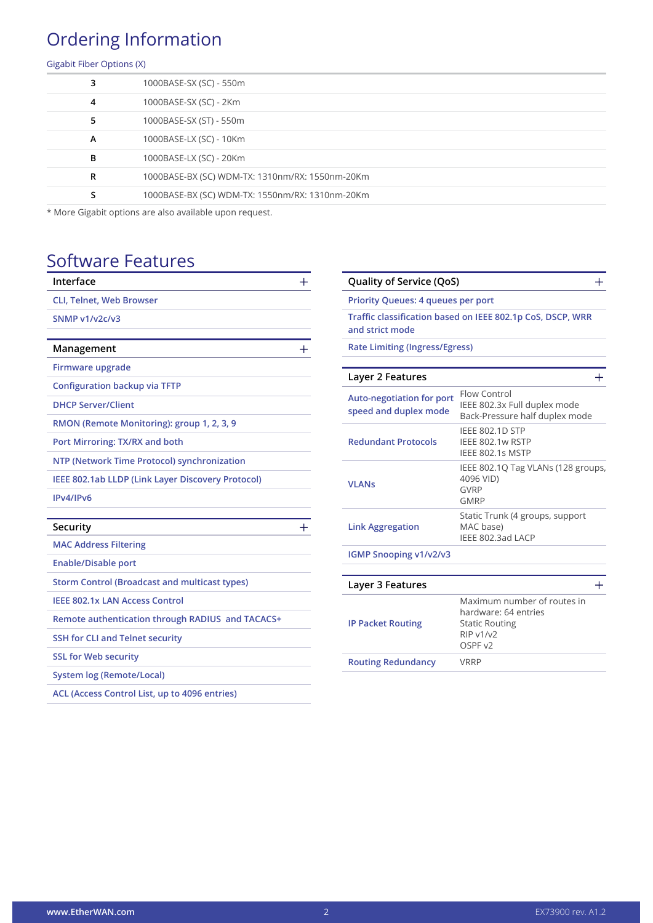## Ordering Information

#### Gigabit Fiber Options (X)

| 3 | 1000BASE-SX (SC) - 550m                         |
|---|-------------------------------------------------|
| 4 | 1000BASE-SX (SC) - 2Km                          |
| 5 | 1000BASE-SX (ST) - 550m                         |
| A | 1000BASE-LX (SC) - 10Km                         |
| в | 1000BASE-LX (SC) - 20Km                         |
| R | 1000BASE-BX (SC) WDM-TX: 1310nm/RX: 1550nm-20Km |
| s | 1000BASE-BX (SC) WDM-TX: 1550nm/RX: 1310nm-20Km |
|   |                                                 |

\* More Gigabit options are also available upon request.

### Software Features

| Interface                                            | ┿            |
|------------------------------------------------------|--------------|
| <b>CLI, Telnet, Web Browser</b>                      |              |
| SNMP v1/v2c/v3                                       |              |
|                                                      |              |
| Management                                           |              |
| Firmware upgrade                                     |              |
| <b>Configuration backup via TFTP</b>                 |              |
| <b>DHCP Server/Client</b>                            |              |
| RMON (Remote Monitoring): group 1, 2, 3, 9           |              |
| Port Mirroring: TX/RX and both                       |              |
| NTP (Network Time Protocol) synchronization          |              |
| IEEE 802.1ab LLDP (Link Layer Discovery Protocol)    |              |
| IPv4/IPv6                                            |              |
|                                                      |              |
| Security                                             | $\mathrm{+}$ |
| <b>MAC Address Filtering</b>                         |              |
| <b>Enable/Disable port</b>                           |              |
| <b>Storm Control (Broadcast and multicast types)</b> |              |
| <b>IEEE 802.1x LAN Access Control</b>                |              |
| Remote authentication through RADIUS and TACACS+     |              |
| <b>SSH for CLI and Telnet security</b>               |              |
| <b>SSL for Web security</b>                          |              |
| <b>System log (Remote/Local)</b>                     |              |
| ACL (Access Control List, up to 4096 entries)        |              |
|                                                      |              |

| Quality of Service (QoS)                                  |                                                                                                             |  |  |
|-----------------------------------------------------------|-------------------------------------------------------------------------------------------------------------|--|--|
| <b>Priority Queues: 4 queues per port</b>                 |                                                                                                             |  |  |
| and strict mode                                           | Traffic classification based on IEEE 802.1p CoS, DSCP, WRR                                                  |  |  |
| <b>Rate Limiting (Ingress/Egress)</b>                     |                                                                                                             |  |  |
| Layer 2 Features                                          |                                                                                                             |  |  |
| <b>Auto-negotiation for port</b><br>speed and duplex mode | Flow Control<br>IEEE 802.3x Full duplex mode<br>Back-Pressure half duplex mode                              |  |  |
| <b>Redundant Protocols</b>                                | <b>IEEE 802.1D STP</b><br>IEEE 802.1w RSTP<br>IEEE 802.1s MSTP                                              |  |  |
| <b>VLANs</b>                                              | IEEE 802.1Q Tag VLANs (128 groups,<br>4096 VID)<br><b>GVRP</b><br><b>GMRP</b>                               |  |  |
| <b>Link Aggregation</b>                                   | Static Trunk (4 groups, support<br>MAC base)<br>IEEE 802.3ad LACP                                           |  |  |
| <b>IGMP Snooping v1/v2/v3</b>                             |                                                                                                             |  |  |
|                                                           |                                                                                                             |  |  |
| Layer 3 Features                                          |                                                                                                             |  |  |
| <b>IP Packet Routing</b>                                  | Maximum number of routes in<br>hardware: 64 entries<br><b>Static Routing</b><br><b>RIP v1/v2</b><br>OSPF v2 |  |  |

**Routing Redundancy** VRRP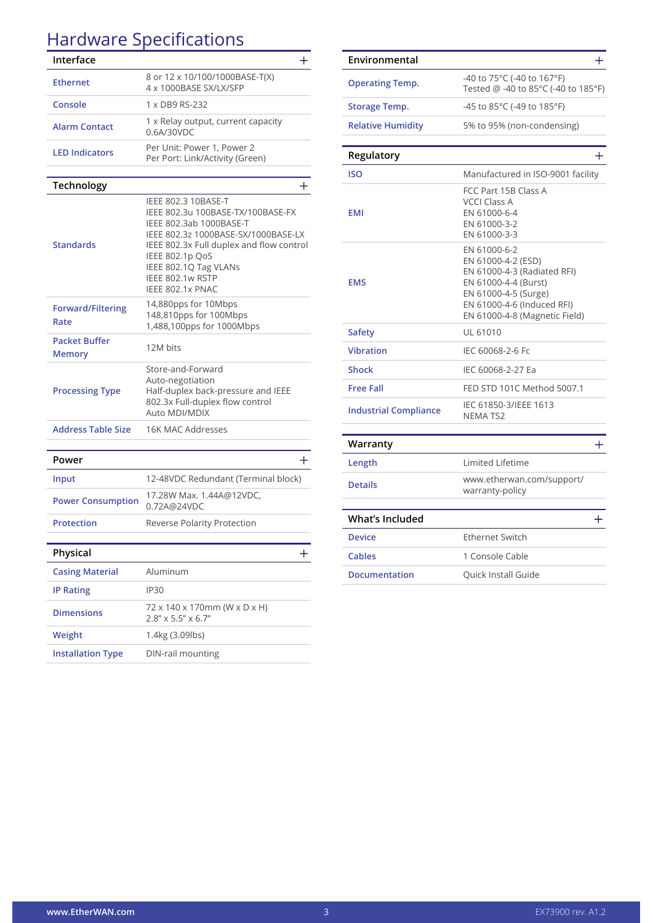# Hardware Specifications

| <b>THE PROPERT</b>                    | <u>Jpccmcacions</u>                                                                                                                                                                                                                                        |
|---------------------------------------|------------------------------------------------------------------------------------------------------------------------------------------------------------------------------------------------------------------------------------------------------------|
| Interface                             | ┿                                                                                                                                                                                                                                                          |
| <b>Ethernet</b>                       | 8 or 12 x 10/100/1000BASE-T(X)<br>4 x 1000BASE SX/LX/SFP                                                                                                                                                                                                   |
| Console                               | 1 x DB9 RS-232                                                                                                                                                                                                                                             |
| <b>Alarm Contact</b>                  | 1 x Relay output, current capacity<br>0.6A/30VDC                                                                                                                                                                                                           |
| <b>LED Indicators</b>                 | Per Unit: Power 1, Power 2<br>Per Port: Link/Activity (Green)                                                                                                                                                                                              |
|                                       |                                                                                                                                                                                                                                                            |
| <b>Technology</b>                     | $+$                                                                                                                                                                                                                                                        |
| <b>Standards</b>                      | IEEE 802.3 10BASE-T<br>IEEE 802.3u 100BASE-TX/100BASE-FX<br>IEEE 802.3ab 1000BASE-T<br>IEEE 802.3z 1000BASE-SX/1000BASE-LX<br>IEEE 802.3x Full duplex and flow control<br>IEEE 802.1p QoS<br>IEEE 802.1Q Tag VLANs<br>IEEE 802.1w RSTP<br>IEEE 802.1x PNAC |
| <b>Forward/Filtering</b><br>Rate      | 14,880pps for 10Mbps<br>148,810pps for 100Mbps<br>1,488,100pps for 1000Mbps                                                                                                                                                                                |
| <b>Packet Buffer</b><br><b>Memory</b> | 12M bits                                                                                                                                                                                                                                                   |
| <b>Processing Type</b>                | Store-and-Forward<br>Auto-negotiation<br>Half-duplex back-pressure and IEEE<br>802.3x Full-duplex flow control<br>Auto MDI/MDIX                                                                                                                            |
| <b>Address Table Size</b>             | 16K MAC Addresses                                                                                                                                                                                                                                          |
|                                       |                                                                                                                                                                                                                                                            |
| Power                                 | ┿                                                                                                                                                                                                                                                          |
| Input                                 | 12-48VDC Redundant (Terminal block)                                                                                                                                                                                                                        |
| <b>Power Consumption</b>              | 17.28W Max. 1.44A@12VDC,<br>0.72A@24VDC                                                                                                                                                                                                                    |
| <b>Protection</b>                     | Reverse Polarity Protection                                                                                                                                                                                                                                |
| Physical                              | ╉                                                                                                                                                                                                                                                          |
| <b>Casing Material</b>                | Aluminum                                                                                                                                                                                                                                                   |
| <b>IP Rating</b>                      | IP30                                                                                                                                                                                                                                                       |
| <b>Dimensions</b>                     | 72 x 140 x 170mm (W x D x H)<br>$2.8'' \times 5.5'' \times 6.7''$                                                                                                                                                                                          |
| Weight                                | 1.4kg (3.09lbs)                                                                                                                                                                                                                                            |
| <b>Installation Type</b>              | DIN-rail mounting                                                                                                                                                                                                                                          |
|                                       |                                                                                                                                                                                                                                                            |

| Environmental                | $\pm$                                                                                                                                                                            |
|------------------------------|----------------------------------------------------------------------------------------------------------------------------------------------------------------------------------|
| <b>Operating Temp.</b>       | -40 to 75°C (-40 to 167°F)<br>Tested @ -40 to 85°C (-40 to 185°F)                                                                                                                |
| <b>Storage Temp.</b>         | -45 to 85°C (-49 to 185°F)                                                                                                                                                       |
| <b>Relative Humidity</b>     | 5% to 95% (non-condensing)                                                                                                                                                       |
| Regulatory                   | $\mathrm{+}$                                                                                                                                                                     |
| <b>ISO</b>                   | Manufactured in ISO-9001 facility                                                                                                                                                |
| <b>EMI</b>                   | FCC Part 15B Class A<br><b>VCCI Class A</b><br>EN 61000-6-4<br>EN 61000-3-2<br>EN 61000-3-3                                                                                      |
| <b>EMS</b>                   | EN 61000-6-2<br>EN 61000-4-2 (ESD)<br>EN 61000-4-3 (Radiated RFI)<br>EN 61000-4-4 (Burst)<br>EN 61000-4-5 (Surge)<br>EN 61000-4-6 (Induced RFI)<br>EN 61000-4-8 (Magnetic Field) |
| <b>Safety</b>                | UL 61010                                                                                                                                                                         |
| <b>Vibration</b>             | IEC 60068-2-6 Fc                                                                                                                                                                 |
| <b>Shock</b>                 | IEC 60068-2-27 Ea                                                                                                                                                                |
| <b>Free Fall</b>             | FED STD 101C Method 5007.1                                                                                                                                                       |
| <b>Industrial Compliance</b> | IEC 61850-3/IEEE 1613<br><b>NEMATS2</b>                                                                                                                                          |
| Warranty                     | $\pm$                                                                                                                                                                            |
| Length                       | <b>Limited Lifetime</b>                                                                                                                                                          |
| <b>Details</b>               | www.etherwan.com/support/<br>warranty-policy                                                                                                                                     |
| <b>What's Included</b>       | $^{+}$                                                                                                                                                                           |
| <b>Device</b>                | <b>Ethernet Switch</b>                                                                                                                                                           |
| Cables                       | 1 Console Cable                                                                                                                                                                  |
| <b>Documentation</b>         | Quick Install Guide                                                                                                                                                              |
|                              |                                                                                                                                                                                  |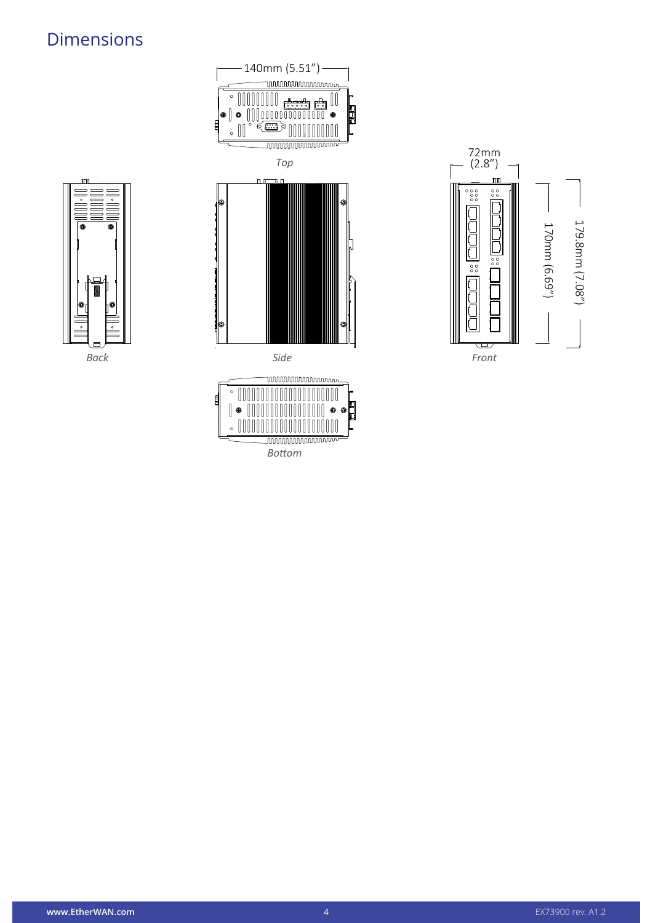### Dimensions



*Back*



**unnnnnnnnnnn**n *Bottom*



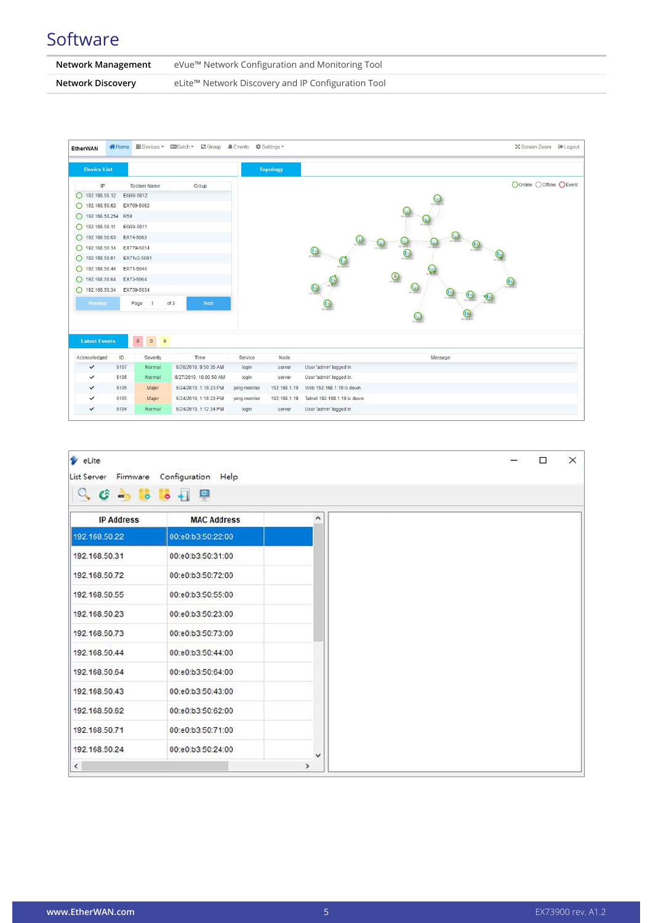### **Software**

| Network Management | eVue™ Network Configuration and Monitoring Tool    |
|--------------------|----------------------------------------------------|
| Network Discovery  | eLite™ Network Discovery and IP Configuration Tool |

| <b>EtherWAN</b>      |      |                         | AHome BDevices ▼ MBatch ▼ DGroup ALEvents © Settings ▼ |              |                 | ☆ Screen Zoom <sup>●</sup> Logout |
|----------------------|------|-------------------------|--------------------------------------------------------|--------------|-----------------|-----------------------------------|
| <b>Device List</b>   |      |                         |                                                        |              | <b>Topology</b> |                                   |
| IP                   |      | System Name             | Group                                                  |              |                 | OOnline OOffline OEvent           |
| 192.168.50.12        |      | EG99-5012               |                                                        |              |                 |                                   |
| 192.168.50.62        |      | EX709-5062              |                                                        |              |                 |                                   |
| 192.168.50.254 R50   |      |                         |                                                        |              |                 |                                   |
| 192.168.50.11        |      | EG99-5011               |                                                        |              |                 |                                   |
| 192.168.50.63        |      | EX74-5063               |                                                        |              |                 |                                   |
| 192.168.50.14        |      | EX779-5014              |                                                        |              |                 | $42 - 28 - 1$                     |
| 192.168.50.61        |      | EX71v2-5061             |                                                        |              |                 | $\circ$<br>$\odot$                |
| 192.168.50.44        |      | EX71-5044               |                                                        |              |                 |                                   |
| 192.168.50.64        |      | EX73-5064               |                                                        |              |                 | $\odot$                           |
| 192.168.50.34        |      | EX739-5034              |                                                        |              |                 | $\odot$                           |
| Previous             |      | 1<br>Page               | of 3<br><b>Next</b>                                    |              |                 |                                   |
|                      |      |                         |                                                        |              |                 | $\bigcirc$                        |
| <b>Latest Events</b> |      | $\mathbf{0}^-$<br>$0$ 0 |                                                        |              |                 |                                   |
| Acknowledged         | ID   | Severity                | Time                                                   | Service      | Node            | Message                           |
| $\checkmark$         | 5107 | Normal                  | 6/28/2019, 9:50:35 AM                                  | login        | server          | User 'admin' logged in.           |
| $\checkmark$         | 5106 | Normal                  | 6/27/2019, 10:00:50 AM                                 | login        | server          | User 'admin' logged in.           |
| $\checkmark$         | 5105 | Major                   | 6/24/2019, 1:18:23 PM                                  | ping-monitor | 192.168.1.19    | Web 192.168.1.19 is down.         |
| $\checkmark$         | 5105 | Major                   | 6/24/2019, 1:18:23 PM                                  | ping-monitor | 192.168.1.19    | Telnet 192.168.1.19 is down.      |
|                      |      | Normal                  | 6/24/2019, 1:12:34 PM                                  | login        |                 |                                   |

| V eLite                                       |                    |      |  |  |  |
|-----------------------------------------------|--------------------|------|--|--|--|
| Configuration Help<br>List Server<br>Firmware |                    |      |  |  |  |
|                                               |                    |      |  |  |  |
| <b>IP Address</b>                             | <b>MAC Address</b> | ۸    |  |  |  |
| 192.168.50.22                                 | 00:e0:b3:50:22:00  |      |  |  |  |
| 192.168.50.31                                 | 00:e0:b3:50:31:00  |      |  |  |  |
| 192.168.50.72                                 | 00:e0:b3:50:72:00  |      |  |  |  |
| 192.168.50.55                                 | 00:e0:b3:50:55:00  |      |  |  |  |
| 192.168.50.23                                 | 00:e0:b3:50:23:00  |      |  |  |  |
| 192.168.50.73                                 | 00:e0:b3:50:73:00  |      |  |  |  |
| 192.168.50.44                                 | 00:e0:b3:50:44:00  |      |  |  |  |
| 192.168.50.64                                 | 00:e0:b3:50:64:00  |      |  |  |  |
| 192.168.50.43                                 | 00:e0:b3:50:43:00  |      |  |  |  |
| 192.168.50.62                                 | 00:e0:b3:50:62:00  |      |  |  |  |
| 192.168.50.71                                 | 00:e0:b3:50:71:00  |      |  |  |  |
| 192.168.50.24                                 | 00:e0:b3:50:24:00  | v    |  |  |  |
| $\checkmark$                                  |                    | $\,$ |  |  |  |